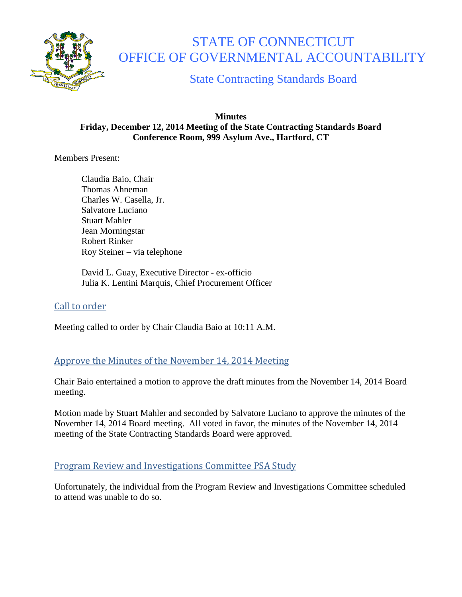

# STATE OF CONNECTICUT OFFICE OF GOVERNMENTAL ACCOUNTABILITY

State Contracting Standards Board

#### **Minutes Friday, December 12, 2014 Meeting of the State Contracting Standards Board Conference Room, 999 Asylum Ave., Hartford, CT**

Members Present:

Claudia Baio, Chair Thomas Ahneman Charles W. Casella, Jr. Salvatore Luciano Stuart Mahler Jean Morningstar Robert Rinker Roy Steiner – via telephone

David L. Guay, Executive Director - ex-officio Julia K. Lentini Marquis, Chief Procurement Officer

# Call to order

Meeting called to order by Chair Claudia Baio at 10:11 A.M.

# Approve the Minutes of the November 14, 2014 Meeting

Chair Baio entertained a motion to approve the draft minutes from the November 14, 2014 Board meeting.

Motion made by Stuart Mahler and seconded by Salvatore Luciano to approve the minutes of the November 14, 2014 Board meeting. All voted in favor, the minutes of the November 14, 2014 meeting of the State Contracting Standards Board were approved.

# Program Review and Investigations Committee PSA Study

Unfortunately, the individual from the Program Review and Investigations Committee scheduled to attend was unable to do so.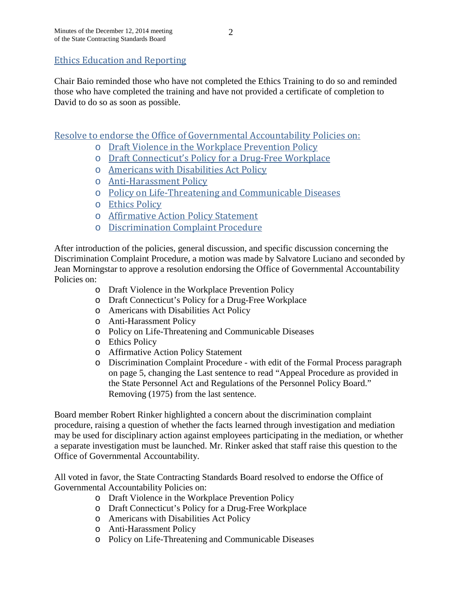## Ethics Education and Reporting

Chair Baio reminded those who have not completed the Ethics Training to do so and reminded those who have completed the training and have not provided a certificate of completion to David to do so as soon as possible.

Resolve to endorse the Office of Governmental Accountability Policies on:

- o Draft Violence in the Workplace Prevention Policy
- o Draft Connecticut's Policy for a Drug-Free Workplace
- o Americans with Disabilities Act Policy
- o Anti-Harassment Policy
- o Policy on Life-Threatening and Communicable Diseases
- o Ethics Policy
- o Affirmative Action Policy Statement
- o Discrimination Complaint Procedure

After introduction of the policies, general discussion, and specific discussion concerning the Discrimination Complaint Procedure, a motion was made by Salvatore Luciano and seconded by Jean Morningstar to approve a resolution endorsing the Office of Governmental Accountability Policies on:

- o Draft Violence in the Workplace Prevention Policy
- o Draft Connecticut's Policy for a Drug-Free Workplace
- o Americans with Disabilities Act Policy
- o Anti-Harassment Policy
- o Policy on Life-Threatening and Communicable Diseases
- o Ethics Policy
- o Affirmative Action Policy Statement
- o Discrimination Complaint Procedure with edit of the Formal Process paragraph on page 5, changing the Last sentence to read "Appeal Procedure as provided in the State Personnel Act and Regulations of the Personnel Policy Board." Removing (1975) from the last sentence.

Board member Robert Rinker highlighted a concern about the discrimination complaint procedure, raising a question of whether the facts learned through investigation and mediation may be used for disciplinary action against employees participating in the mediation, or whether a separate investigation must be launched. Mr. Rinker asked that staff raise this question to the Office of Governmental Accountability.

All voted in favor, the State Contracting Standards Board resolved to endorse the Office of Governmental Accountability Policies on:

- o Draft Violence in the Workplace Prevention Policy
- o Draft Connecticut's Policy for a Drug-Free Workplace
- o Americans with Disabilities Act Policy
- o Anti-Harassment Policy
- o Policy on Life-Threatening and Communicable Diseases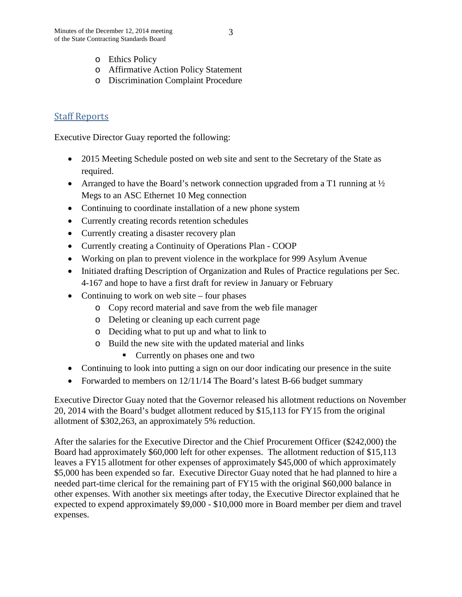- o Affirmative Action Policy Statement
- o Discrimination Complaint Procedure

## Staff Reports

Executive Director Guay reported the following:

- 2015 Meeting Schedule posted on web site and sent to the Secretary of the State as required.
- Arranged to have the Board's network connection upgraded from a T1 running at  $\frac{1}{2}$ Megs to an ASC Ethernet 10 Meg connection
- Continuing to coordinate installation of a new phone system
- Currently creating records retention schedules
- Currently creating a disaster recovery plan
- Currently creating a Continuity of Operations Plan COOP
- Working on plan to prevent violence in the workplace for 999 Asylum Avenue
- Initiated drafting Description of Organization and Rules of Practice regulations per Sec. 4-167 and hope to have a first draft for review in January or February
- Continuing to work on web site four phases
	- o Copy record material and save from the web file manager
	- o Deleting or cleaning up each current page
	- o Deciding what to put up and what to link to
	- o Build the new site with the updated material and links
		- Currently on phases one and two
- Continuing to look into putting a sign on our door indicating our presence in the suite
- Forwarded to members on 12/11/14 The Board's latest B-66 budget summary

Executive Director Guay noted that the Governor released his allotment reductions on November 20, 2014 with the Board's budget allotment reduced by \$15,113 for FY15 from the original allotment of \$302,263, an approximately 5% reduction.

After the salaries for the Executive Director and the Chief Procurement Officer (\$242,000) the Board had approximately \$60,000 left for other expenses. The allotment reduction of \$15,113 leaves a FY15 allotment for other expenses of approximately \$45,000 of which approximately \$5,000 has been expended so far. Executive Director Guay noted that he had planned to hire a needed part-time clerical for the remaining part of FY15 with the original \$60,000 balance in other expenses. With another six meetings after today, the Executive Director explained that he expected to expend approximately \$9,000 - \$10,000 more in Board member per diem and travel expenses.